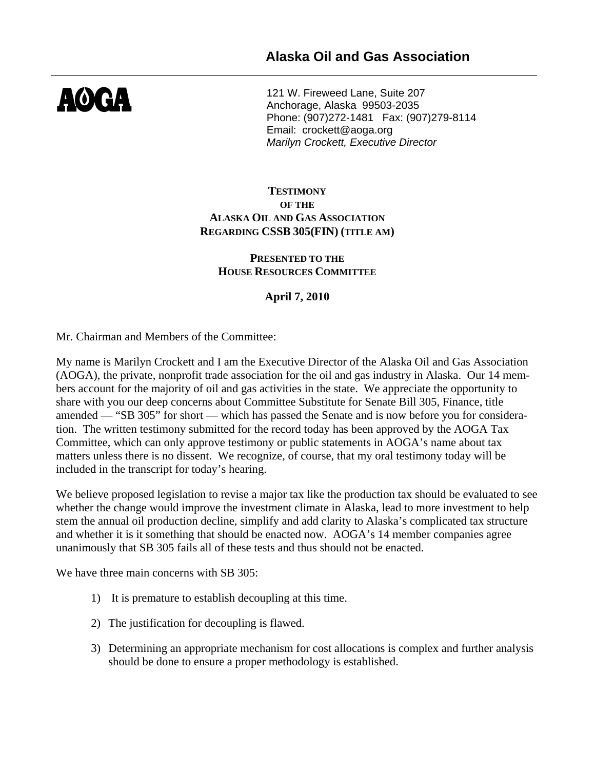

121 W. Fireweed Lane, Suite 207 Anchorage, Alaska 99503-2035 Phone: (907)272-1481 Fax: (907)279-8114 Email: crockett@aoga.org *Marilyn Crockett, Executive Director* 

### **TESTIMONY OF THE ALASKA OIL AND GAS ASSOCIATION REGARDING CSSB 305(FIN) (TITLE AM)**

#### **PRESENTED TO THE HOUSE RESOURCES COMMITTEE**

# **April 7, 2010**

Mr. Chairman and Members of the Committee:

My name is Marilyn Crockett and I am the Executive Director of the Alaska Oil and Gas Association (AOGA), the private, nonprofit trade association for the oil and gas industry in Alaska. Our 14 members account for the majority of oil and gas activities in the state. We appreciate the opportunity to share with you our deep concerns about Committee Substitute for Senate Bill 305, Finance, title amended — "SB 305" for short — which has passed the Senate and is now before you for consideration. The written testimony submitted for the record today has been approved by the AOGA Tax Committee, which can only approve testimony or public statements in AOGA's name about tax matters unless there is no dissent. We recognize, of course, that my oral testimony today will be included in the transcript for today's hearing.

We believe proposed legislation to revise a major tax like the production tax should be evaluated to see whether the change would improve the investment climate in Alaska, lead to more investment to help stem the annual oil production decline, simplify and add clarity to Alaska's complicated tax structure and whether it is it something that should be enacted now. AOGA's 14 member companies agree unanimously that SB 305 fails all of these tests and thus should not be enacted.

We have three main concerns with SB 305:

- 1) It is premature to establish decoupling at this time.
- 2) The justification for decoupling is flawed.
- 3) Determining an appropriate mechanism for cost allocations is complex and further analysis should be done to ensure a proper methodology is established.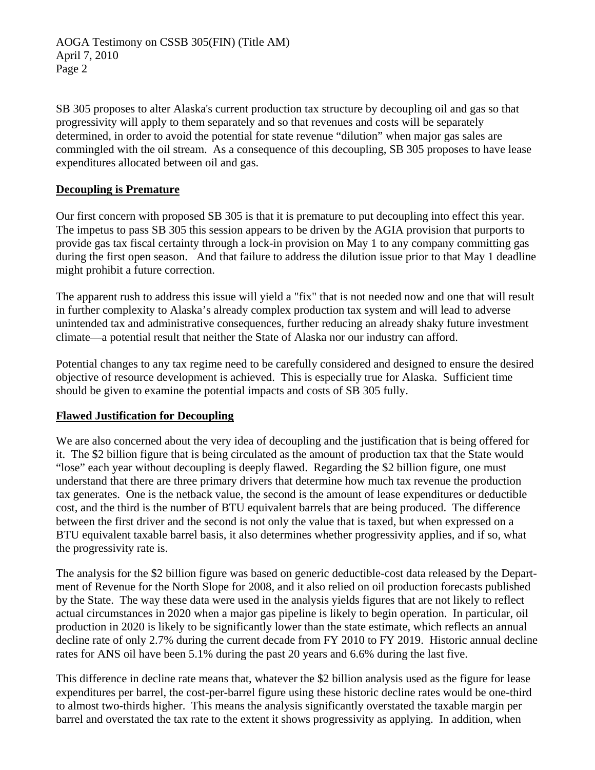AOGA Testimony on CSSB 305(FIN) (Title AM) April 7, 2010 Page 2

SB 305 proposes to alter Alaska's current production tax structure by decoupling oil and gas so that progressivity will apply to them separately and so that revenues and costs will be separately determined, in order to avoid the potential for state revenue "dilution" when major gas sales are commingled with the oil stream. As a consequence of this decoupling, SB 305 proposes to have lease expenditures allocated between oil and gas.

### **Decoupling is Premature**

Our first concern with proposed SB 305 is that it is premature to put decoupling into effect this year. The impetus to pass SB 305 this session appears to be driven by the AGIA provision that purports to provide gas tax fiscal certainty through a lock-in provision on May 1 to any company committing gas during the first open season. And that failure to address the dilution issue prior to that May 1 deadline might prohibit a future correction.

The apparent rush to address this issue will yield a "fix" that is not needed now and one that will result in further complexity to Alaska's already complex production tax system and will lead to adverse unintended tax and administrative consequences, further reducing an already shaky future investment climate—a potential result that neither the State of Alaska nor our industry can afford.

Potential changes to any tax regime need to be carefully considered and designed to ensure the desired objective of resource development is achieved. This is especially true for Alaska. Sufficient time should be given to examine the potential impacts and costs of SB 305 fully.

## **Flawed Justification for Decoupling**

We are also concerned about the very idea of decoupling and the justification that is being offered for it. The \$2 billion figure that is being circulated as the amount of production tax that the State would "lose" each year without decoupling is deeply flawed. Regarding the \$2 billion figure, one must understand that there are three primary drivers that determine how much tax revenue the production tax generates. One is the netback value, the second is the amount of lease expenditures or deductible cost, and the third is the number of BTU equivalent barrels that are being produced. The difference between the first driver and the second is not only the value that is taxed, but when expressed on a BTU equivalent taxable barrel basis, it also determines whether progressivity applies, and if so, what the progressivity rate is.

The analysis for the \$2 billion figure was based on generic deductible-cost data released by the Department of Revenue for the North Slope for 2008, and it also relied on oil production forecasts published by the State. The way these data were used in the analysis yields figures that are not likely to reflect actual circumstances in 2020 when a major gas pipeline is likely to begin operation. In particular, oil production in 2020 is likely to be significantly lower than the state estimate, which reflects an annual decline rate of only 2.7% during the current decade from FY 2010 to FY 2019. Historic annual decline rates for ANS oil have been 5.1% during the past 20 years and 6.6% during the last five.

This difference in decline rate means that, whatever the \$2 billion analysis used as the figure for lease expenditures per barrel, the cost-per-barrel figure using these historic decline rates would be one-third to almost two-thirds higher. This means the analysis significantly overstated the taxable margin per barrel and overstated the tax rate to the extent it shows progressivity as applying. In addition, when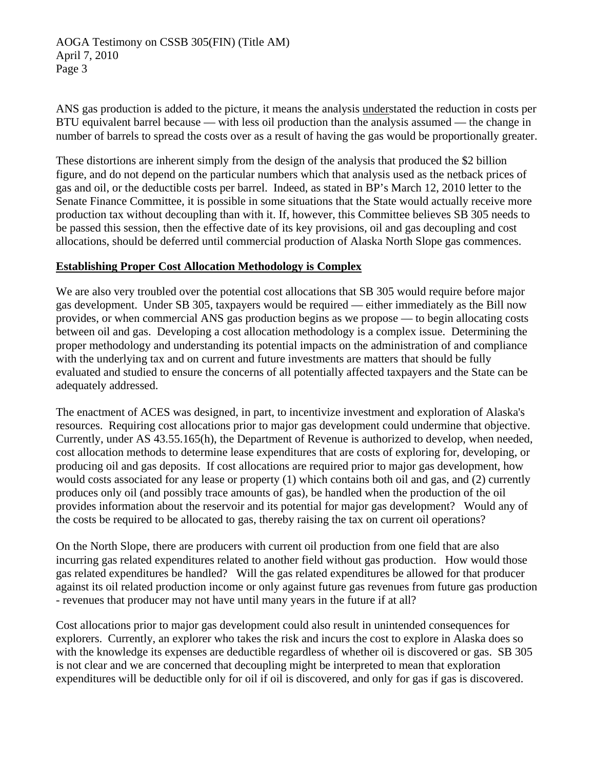AOGA Testimony on CSSB 305(FIN) (Title AM) April 7, 2010 Page 3

ANS gas production is added to the picture, it means the analysis understated the reduction in costs per BTU equivalent barrel because — with less oil production than the analysis assumed — the change in number of barrels to spread the costs over as a result of having the gas would be proportionally greater.

These distortions are inherent simply from the design of the analysis that produced the \$2 billion figure, and do not depend on the particular numbers which that analysis used as the netback prices of gas and oil, or the deductible costs per barrel. Indeed, as stated in BP's March 12, 2010 letter to the Senate Finance Committee, it is possible in some situations that the State would actually receive more production tax without decoupling than with it. If, however, this Committee believes SB 305 needs to be passed this session, then the effective date of its key provisions, oil and gas decoupling and cost allocations, should be deferred until commercial production of Alaska North Slope gas commences.

### **Establishing Proper Cost Allocation Methodology is Complex**

We are also very troubled over the potential cost allocations that SB 305 would require before major gas development. Under SB 305, taxpayers would be required — either immediately as the Bill now provides, or when commercial ANS gas production begins as we propose — to begin allocating costs between oil and gas. Developing a cost allocation methodology is a complex issue. Determining the proper methodology and understanding its potential impacts on the administration of and compliance with the underlying tax and on current and future investments are matters that should be fully evaluated and studied to ensure the concerns of all potentially affected taxpayers and the State can be adequately addressed.

The enactment of ACES was designed, in part, to incentivize investment and exploration of Alaska's resources. Requiring cost allocations prior to major gas development could undermine that objective. Currently, under AS 43.55.165(h), the Department of Revenue is authorized to develop, when needed, cost allocation methods to determine lease expenditures that are costs of exploring for, developing, or producing oil and gas deposits. If cost allocations are required prior to major gas development, how would costs associated for any lease or property (1) which contains both oil and gas, and (2) currently produces only oil (and possibly trace amounts of gas), be handled when the production of the oil provides information about the reservoir and its potential for major gas development? Would any of the costs be required to be allocated to gas, thereby raising the tax on current oil operations?

On the North Slope, there are producers with current oil production from one field that are also incurring gas related expenditures related to another field without gas production. How would those gas related expenditures be handled? Will the gas related expenditures be allowed for that producer against its oil related production income or only against future gas revenues from future gas production - revenues that producer may not have until many years in the future if at all?

Cost allocations prior to major gas development could also result in unintended consequences for explorers. Currently, an explorer who takes the risk and incurs the cost to explore in Alaska does so with the knowledge its expenses are deductible regardless of whether oil is discovered or gas. SB 305 is not clear and we are concerned that decoupling might be interpreted to mean that exploration expenditures will be deductible only for oil if oil is discovered, and only for gas if gas is discovered.